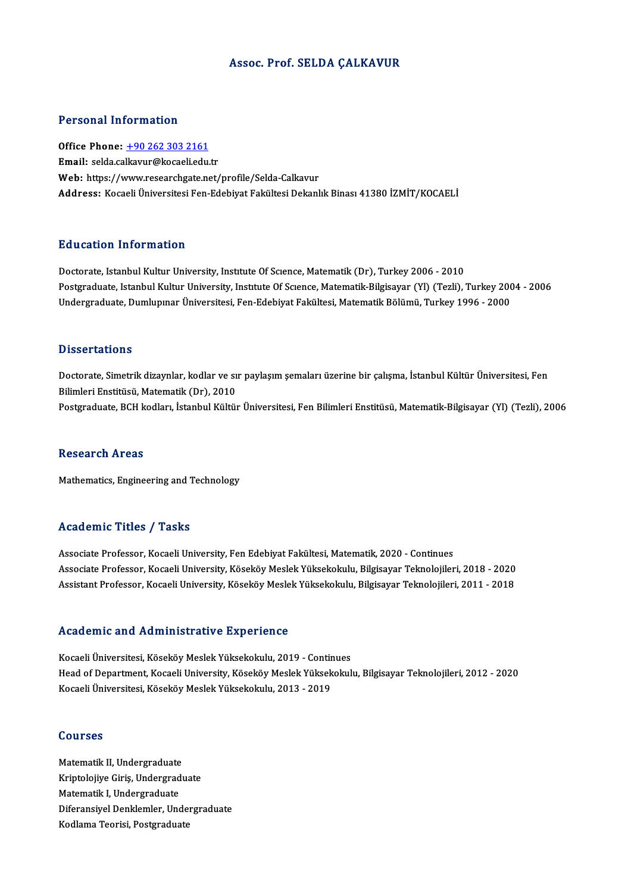### Assoc. Prof. SELDA ÇALKAVUR

### Personal Information

Office Phone: +90 262 303 2161 Email: selda.ca[lkavur@kocaeli.edu](tel:+90 262 303 2161).tr Web: https://www.researchgate.net/profile/Selda-Calkavur Address: Kocaeli Üniversitesi Fen-Edebiyat Fakültesi Dekanlık Binası 41380 İZMİT/KOCAELİ

### Education Information

Doctorate, Istanbul Kultur University, Institute Of Science, Matematik (Dr), Turkey 2006 - 2010 Pu u cucron Timor inucron<br>Doctorate, Istanbul Kultur University, Institute Of Science, Matematik (Dr), Turkey 2006 - 2010<br>Postgraduate, Istanbul Kultur University, Institute Of Science, Matematik-Bilgisayar (Yl) (Tezli), T Doctorate, Istanbul Kultur University, Institute Of Science, Matematik (Dr), Turkey 2006 - 2010<br>Postgraduate, Istanbul Kultur University, Institute Of Science, Matematik-Bilgisayar (Yl) (Tezli), Turkey 200<br>Undergraduate, D Undergraduate, Dumlupınar Üniversitesi, Fen-Edebiyat Fakültesi, Matematik Bölümü, Turkey 1996 - 2000<br>Dissertations

Dissertations<br>Doctorate, Simetrik dizaynlar, kodlar ve sır paylaşım şemaları üzerine bir çalışma, İstanbul Kültür Üniversitesi, Fen<br>Bilimleri Enstitüsü, Matematik (Dr.), 2010 Bilimleri<br>Bilimleri Enstitüsü, Matematik (Dr), 2010<br>Bestanaduste, BCH kodlan, İstanbul Kültü Doctorate, Simetrik dizaynlar, kodlar ve sır paylaşım şemaları üzerine bir çalışma, İstanbul Kültür Üniversitesi, Fen<br>Bilimleri Enstitüsü, Matematik (Dr), 2010<br>Postgraduate, BCH kodları, İstanbul Kültür Üniversitesi, Fen B Postgraduate, BCH kodları, İstanbul Kültür Üniversitesi, Fen Bilimleri Enstitüsü, Matematik-Bilgisayar (Yl) (Tezli), 2006<br>Research Areas

Mathematics, Engineering and Technology

### Academic Titles / Tasks

Associate Professor, Kocaeli University, Fen Edebiyat Fakültesi, Matematik, 2020 - Continues Associate Professor, Kocaeli University, Köseköy Meslek Yüksekokulu, Bilgisayar Teknolojileri, 2018 - 2020 Assistant Professor, Kocaeli University, Köseköy Meslek Yüksekokulu, Bilgisayar Teknolojileri, 2011 - 2018

### Academic and Administrative Experience

Kocaeli Üniversitesi, Köseköy Meslek Yüksekokulu, 2019 - Continues Head of Department, Kocaeli University, Köseköy Meslek Yüksekokulu, Bilgisayar Teknolojileri, 2012 - 2020 KocaeliÜniversitesi,KöseköyMeslekYüksekokulu,2013 -2019

### Courses

Matematik II, Undergraduate Sourses<br>Matematik II, Undergraduate<br>Kriptolojiye Giriş, Undergraduate<br>Matematik I, Undergraduate Matematik II, Undergraduate<br>Kriptolojiye Giriş, Undergrad<br>Matematik I, Undergraduate<br>Diferensiyal Denklemler, Une Matematik I, Undergraduate<br>Diferansiyel Denklemler, Undergraduate Kodlama Teorisi, Postgraduate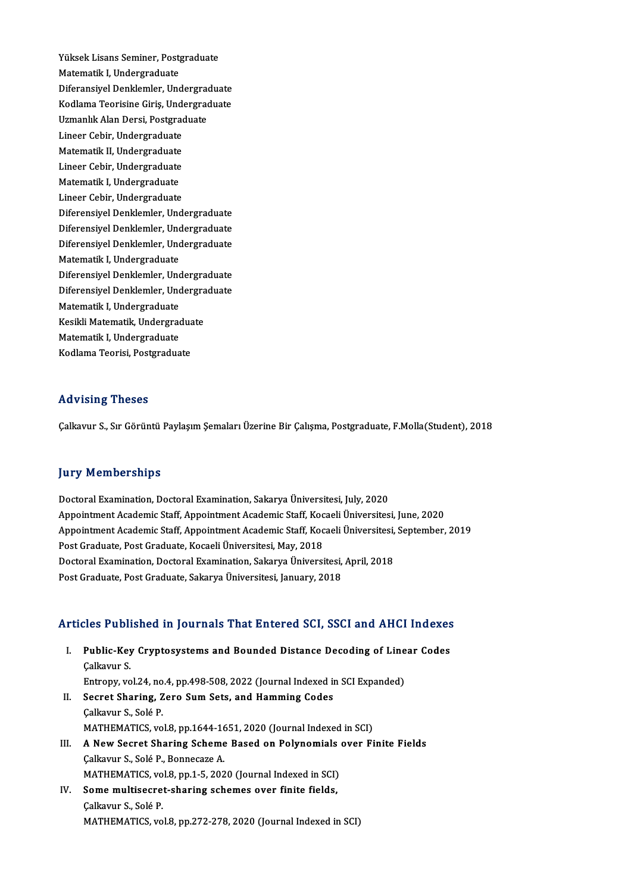Yüksek Lisans Seminer, Postgraduate<br>Matematik L Undergraduate Yüksek Lisans Seminer, Post<sub>i</sub><br>Matematik I, Undergraduate<br>Diferensivel Denklemler, Une Yüksek Lisans Seminer, Postgraduate<br>Matematik I, Undergraduate<br>Diferansiyel Denklemler, Undergraduate<br>Kodlama Teorisine Ciris, Undergraduate Matematik I, Undergraduate<br>Diferansiyel Denklemler, Undergraduate<br>Kodlama Teorisine Giriş, Undergraduate<br>Urmanlık Alan Dergi, Pestsraduate Diferansiyel Denklemler, Undergrad<br>Kodlama Teorisine Giriş, Undergrad<br>Uzmanlık Alan Dersi, Postgraduate<br>Lineer Cebir, Undergraduate Kodlama Teorisine Giriş, Undergraduate<br>Uzmanlık Alan Dersi, Postgraduate<br>Lineer Cebir, Undergraduate Uzmanlık Alan Dersi, Postgraduate<br>Lineer Cebir, Undergraduate<br>Matematik II, Undergraduate<br>Lineer Cebir, Undergraduate Lineer Cebir, Undergraduate<br>Matematik II, Undergraduate<br>Lineer Cebir, Undergraduate<br>Matematik I, Undergraduate Matematik II, Undergraduate<br>Lineer Cebir, Undergraduate<br>Matematik I, Undergraduate<br>Lineer Cebir, Undergraduate Matematik I, Undergraduate<br>Lineer Cebir, Undergraduate Matematik I, Undergraduate<br>Lineer Cebir, Undergraduate<br>Diferensiyel Denklemler, Undergraduate<br>Diferensiyel Denklemler, Undergraduate Lineer Cebir, Undergraduate<br>Diferensiyel Denklemler, Undergraduate<br>Diferensiyel Denklemler, Undergraduate<br>Diferensiyel Denklemler, Undergraduate Diferensiyel Denklemler, Undergraduate<br>Diferensiyel Denklemler, Undergraduate<br>Diferensiyel Denklemler, Undergraduate<br>Matematik L Undergraduate Diferensiyel Denklemler, Undergraduate<br>Diferensiyel Denklemler, Undergraduate<br>Matematik I, Undergraduate Diferensiyel Denklemler, Undergraduate<br>Matematik I, Undergraduate<br>Diferensiyel Denklemler, Undergraduate<br>Diferensiyel Denklemler, Undergraduate Matematik I, Undergraduate<br>Diferensiyel Denklemler, Undergraduate<br>Diferensiyel Denklemler, Undergraduate<br>Matematik I, Undergraduate Diferensiyel Denklemler, Unc<br>Diferensiyel Denklemler, Unc<br>Matematik I, Undergraduate<br>Kesikli Matematik, Undergras Diferensiyel Denklemler, Undergra<br>Matematik I, Undergraduate<br>Kesikli Matematik, Undergraduate<br>Matematik I, Undergraduate Matematik I, Undergraduate<br>Kesikli Matematik, Undergrad<br>Matematik I, Undergraduate<br>Kodlama Teerisi, Destanadua Kesikli Matematik, Undergradua<br>Matematik I, Undergraduate<br>Kodlama Teorisi, Postgraduate Kodlama Teorisi, Postgraduate<br>Advising Theses

Çalkavur S., Sır Görüntü Paylaşım Şemaları Üzerine Bir Çalışma, Postgraduate, F.Molla(Student), 2018

### **Jury Memberships**

DoctoralExamination,DoctoralExamination,SakaryaÜniversitesi, July,2020 Jury Trembersmps<br>Doctoral Examination, Doctoral Examination, Sakarya Üniversitesi, July, 2020<br>Appointment Academic Staff, Appointment Academic Staff, Kocaeli Üniversitesi, June, 2020<br>Appointment Academic Staff, Appointment Doctoral Examination, Doctoral Examination, Sakarya Üniversitesi, July, 2020<br>Appointment Academic Staff, Appointment Academic Staff, Kocaeli Üniversitesi, June, 2020<br>Appointment Academic Staff, Appointment Academic Staff, Appointment Academic Staff, Appointment Academic Staff, Koc<br>Appointment Academic Staff, Appointment Academic Staff, Koc<br>Post Graduate, Post Graduate, Kocaeli Üniversitesi, May, 2018<br>Postoral Examination, Dostoral Examinati Appointment Academic Staff, Appointment Academic Staff, Kocaeli Üniversitesi, September, 2019<br>Post Graduate, Post Graduate, Kocaeli Üniversitesi, May, 2018<br>Doctoral Examination, Doctoral Examination, Sakarya Üniversitesi, Post Graduate, Post Graduate, Sakarya Üniversitesi, January, 2018

# Post Graduate, Post Graduate, Sakarya Universitesi, January, 2018<br>Articles Published in Journals That Entered SCI, SSCI and AHCI Indexes

|      | Articles Published in Journals That Entered SCI, SSCI and AHCI Indexes       |
|------|------------------------------------------------------------------------------|
| L    | Public-Key Cryptosystems and Bounded Distance Decoding of Linear Codes       |
|      | Calkavur S.                                                                  |
|      | Entropy, vol. 24, no. 4, pp. 498-508, 2022 (Journal Indexed in SCI Expanded) |
| Н.   | Secret Sharing, Zero Sum Sets, and Hamming Codes                             |
|      | Calkavur S. Solé P                                                           |
|      | MATHEMATICS, vol.8, pp.1644-1651, 2020 (Journal Indexed in SCI)              |
| III. | A New Secret Sharing Scheme Based on Polynomials over Finite Fields          |
|      | Çalkavur S., Solé P., Bonnecaze A.                                           |
|      | MATHEMATICS, vol.8, pp.1-5, 2020 (Journal Indexed in SCI)                    |
| IV.  | Some multisecret-sharing schemes over finite fields,                         |
|      | Calkavur S., Solé P.                                                         |
|      | MATHEMATICS, vol.8, pp.272-278, 2020 (Journal Indexed in SCI)                |
|      |                                                                              |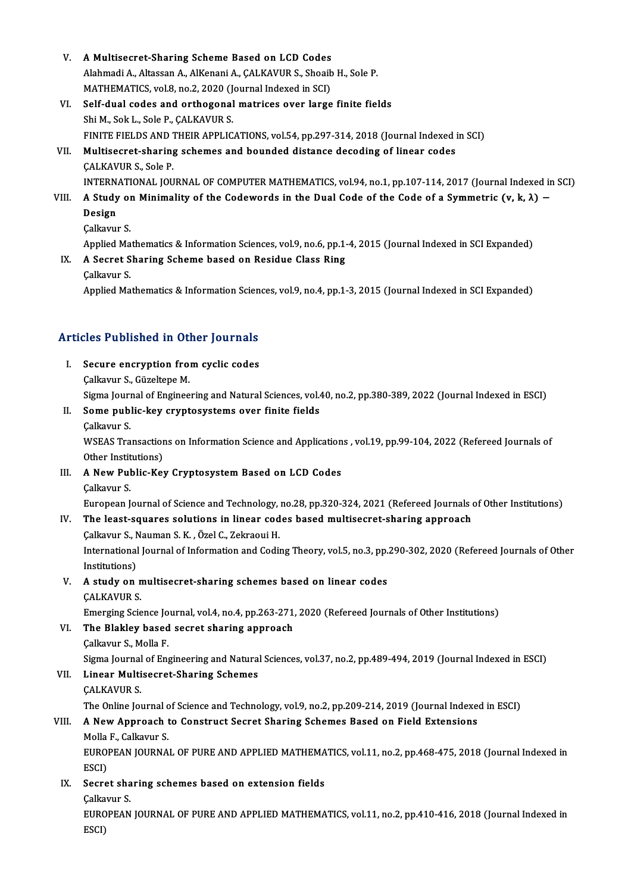- V. A Multisecret-Sharing Scheme Based on LCD Codes<br>Alahmadi A Altassan A Alkanani A CALKAVUD S. Sheath Alahmadi A., Altassan A., AlKenani A., ÇALKAVUR S., Shoaib H., Sole P.<br>MATHEMATICS. vol.8, no.2, 2020 (Journal Indexed in SCI) A Multisecret-Sharing Scheme Based on LCD Codes<br>Alahmadi A., Altassan A., AlKenani A., ÇALKAVUR S., Shoaib<br>MATHEMATICS, vol.8, no.2, 2020 (Journal Indexed in SCI)<br>Self dual sades and exthesenal matrices ever large Alahmadi A., Altassan A., AlKenani A., ÇALKAVUR S., Shoaib H., Sole P.<br>MATHEMATICS, vol.8, no.2, 2020 (Journal Indexed in SCI)<br>VI. Self-dual codes and orthogonal matrices over large finite fields<br>Shi M. Selt L. Sele B. CAL MATHEMATICS, vol.8, no.2, 2020 (J.<br>Self-dual codes and orthogonal<br>Shi M., Sok L., Sole P., ÇALKAVUR S.<br>EINITE EIEL DS AND TUEIR APRLIC Shi M., Sok L., Sole P., ÇALKAVUR S.<br>FINITE FIELDS AND THEIR APPLICATIONS, vol.54, pp.297-314, 2018 (Journal Indexed in SCI) Shi M., Sok L., Sole P., ÇALKAVUR S.<br>FINITE FIELDS AND THEIR APPLICATIONS, vol.54, pp.297-314, 2018 (Journal Indexed i<br>VII. Multisecret-sharing schemes and bounded distance decoding of linear codes<br>CALKAVUR S. Sole B. FINITE FIELDS AND 1<br>Multisecret-sharing<br>CALKAVUR S., Sole P.<br>INTERNATIONAL JOU Multisecret-sharing schemes and bounded distance decoding of linear codes<br>CALKAVUR S., Sole P.<br>INTERNATIONAL JOURNAL OF COMPUTER MATHEMATICS, vol.94, no.1, pp.107-114, 2017 (Journal Indexed in SCI)<br>A Study on Minimality of CALKAVUR S., Sole P.<br>INTERNATIONAL JOURNAL OF COMPUTER MATHEMATICS, vol.94, no.1, pp.107-114, 2017 (Journal Indexed in<br>VIII. A Study on Minimality of the Codewords in the Dual Code of the Code of a Symmetric (v, k, λ) −<br> INTERN.<br>A Study<br>Design A Study o<mark>l</mark><br>Design<br>Çalkavur S.<br>Annlied Me Design<br>Çalkavur S.<br>Applied Mathematics & Information Sciences, vol.9, no.6, pp.1-4, 2015 (Journal Indexed in SCI Expanded)
	-

Calkavur S.<br>Applied Mathematics & Information Sciences, vol.9, no.6, pp.1-<br>IX. A Secret Sharing Scheme based on Residue Class Ring Applied Ma<br>**A Secret S<br>Çalkavur S.<br>Annlied Me** Çalkavur S.<br>Applied Mathematics & Information Sciences, vol.9, no.4, pp.1-3, 2015 (Journal Indexed in SCI Expanded)

### Articles Published in Other Journals

- **Tricles Published in Other Journals**<br>I. Secure encryption from cyclic codes<br>Callawys Cüzaltane M Secure encryption from<br>Secure encryption from<br>Calkavur S., Güzeltepe M.<br>Sigma Journal of Enginee Calkavur S., Güzeltepe M.<br>Sigma Journal of Engineering and Natural Sciences, vol.40, no.2, pp.380-389, 2022 (Journal Indexed in ESCI) Calkavur S., Güzeltepe M.<br>Sigma Journal of Engineering and Natural Sciences, vol.4<br>II. Some public-key cryptosystems over finite fields Sigma Jouri<br>S<mark>ome pub</mark>l<br>Çalkavur S.<br>WSEAS Tre
- -

Some public-key cryptosystems over finite fields<br>Çalkavur S.<br>WSEAS Transactions on Information Science and Applications , vol.19, pp.99-104, 2022 (Refereed Journals of Calkavur S.<br>WSEAS Transaction<br>Other Institutions)<br>A Now Bublic Ko WSEAS Transactions on Information Science and Application<br>Other Institutions)<br>III. A New Public-Key Cryptosystem Based on LCD Codes<br>Collramy S

Other Institutions)<br>III. A New Public-Key Cryptosystem Based on LCD Codes<br>Calkavur S. A New Public-Key Cryptosystem Based on LCD Codes<br>Calkavur S.<br>European Journal of Science and Technology, no.28, pp.320-324, 2021 (Refereed Journals of Other Institutions)<br>The least saugres solutions in linear sodes based m

Calkavur S.<br>European Journal of Science and Technology, no.28, pp.320-324, 2021 (Refereed Journals of<br>IV. The least-squares solutions in linear codes based multisecret-sharing approach<br>Collignius S. Nouman S. K., Özel C. Z European Journal of Science and Technology,<br>The least-squares solutions in linear cod<br>Çalkavur S., Nauman S. K. , Özel C., Zekraoui H.<br>International Journal of Information and Codi: Çalkavur S., Nauman S. K., Özel C., Zekraoui H.

IV. The least-squares solutions in linear codes based multisecret-sharing approach<br>
Galkavur S., Nauman S. K. , Özel C., Zekraoui H.<br>
International Journal of Information and Coding Theory, vol.5, no.3, pp.290-302, 2020 (R International Journal of Information and Coding Theory, vol.5, no.3, pp.<br>Institutions)<br>V. A study on multisecret-sharing schemes based on linear codes<br>CALVAVUR S

Institutions)<br>**A study on n**<br>ÇALKAVUR S.<br>Emorging Scio CALKAVUR S.<br>Emerging Science Journal, vol.4, no.4, pp.263-271, 2020 (Refereed Journals of Other Institutions) CALKAVUR S.<br>Emerging Science Journal, vol.4, no.4, pp.263-271,<br>VI. The Blakley based secret sharing approach<br>Calliarur S. Molla F.

Emerging Science Jo<br>The Blakley based<br>Çalkavur S., Molla F.<br>Sirma Journal of Eng

ESCI)

Calkavur S., Molla F.<br>Sigma Journal of Engineering and Natural Sciences, vol.37, no.2, pp.489-494, 2019 (Journal Indexed in ESCI)

# Calkavur S., Molla F.<br>Sigma Journal of Engineering and Natural<br>VII. Linear Multisecret-Sharing Schemes<br>CALKAVUR S Sigma Journal<br><mark>Linear Multi</mark><br>ÇALKAVUR S.<br><sup>The Online Jou</sup>

CALKAVUR S.<br>The Online Journal of Science and Technology, vol.9, no.2, pp.209-214, 2019 (Journal Indexed in ESCI)

# CALKAVUR S.<br>The Online Journal of Science and Technology, vol.9, no.2, pp.209-214, 2019 (Journal Indexeronul I.<br>VIII. A New Approach to Construct Secret Sharing Schemes Based on Field Extensions<br>Melle E. Collegy S. The Online Journal c<br>**A New Approach t<br>Molla F., Calkavur S.<br>EUROPEAN JOURNA** Molla F., Calkavur S.

EUROPEAN JOURNAL OF PURE AND APPLIED MATHEMATICS, vol.11, no.2, pp.468-475, 2018 (Journal Indexed in ESCI) EUROPEAN JOURNAL OF PURE AND APPLIED MATHEMA<br>ESCI)<br>IX. Secret sharing schemes based on extension fields

ESCI)<br>Secret sha<br>Çalkavur S.<br>EUROPEAN Calkavur S.<br>EUROPEAN JOURNAL OF PURE AND APPLIED MATHEMATICS, vol.11, no.2, pp.410-416, 2018 (Journal Indexed in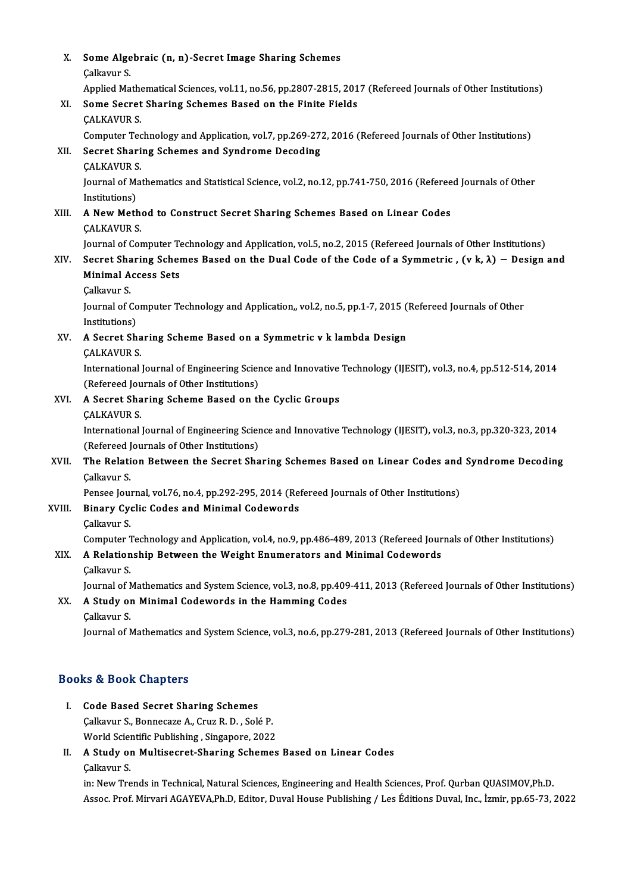| Х.     | Some Algebraic (n, n)-Secret Image Sharing Schemes<br>Çalkavur S                                                                                                        |
|--------|-------------------------------------------------------------------------------------------------------------------------------------------------------------------------|
|        | Applied Mathematical Sciences, vol.11, no.56, pp.2807-2815, 2017 (Refereed Journals of Other Institutions)                                                              |
| XI.    | Some Secret Sharing Schemes Based on the Finite Fields                                                                                                                  |
|        | <b>ÇALKAVUR S</b>                                                                                                                                                       |
|        | Computer Technology and Application, vol.7, pp.269-272, 2016 (Refereed Journals of Other Institutions)                                                                  |
| XII.   | Secret Sharing Schemes and Syndrome Decoding<br><b>ÇALKAVUR S</b>                                                                                                       |
|        | Journal of Mathematics and Statistical Science, vol.2, no.12, pp.741-750, 2016 (Refereed Journals of Other                                                              |
|        | Institutions)                                                                                                                                                           |
| XIII.  | A New Method to Construct Secret Sharing Schemes Based on Linear Codes                                                                                                  |
|        | <b>CALKAVUR S.</b>                                                                                                                                                      |
|        | Journal of Computer Technology and Application, vol.5, no.2, 2015 (Refereed Journals of Other Institutions)                                                             |
| XIV.   | Secret Sharing Schemes Based on the Dual Code of the Code of a Symmetric, $(v \nvert k, \lambda)$ - Design and                                                          |
|        | <b>Minimal Access Sets</b>                                                                                                                                              |
|        | Çalkavur S.                                                                                                                                                             |
|        | Journal of Computer Technology and Application,, vol.2, no.5, pp.1-7, 2015 (Refereed Journals of Other                                                                  |
|        | Institutions)                                                                                                                                                           |
| XV.    | A Secret Sharing Scheme Based on a Symmetric v k lambda Design                                                                                                          |
|        | <b>ÇALKAVUR S</b>                                                                                                                                                       |
|        | International Journal of Engineering Science and Innovative Technology (IJESIT), vol.3, no.4, pp.512-514, 2014                                                          |
| XVI.   | (Refereed Journals of Other Institutions)<br>A Secret Sharing Scheme Based on the Cyclic Groups                                                                         |
|        | <b>ÇALKAVUR S.</b>                                                                                                                                                      |
|        | International Journal of Engineering Science and Innovative Technology (IJESIT), vol.3, no.3, pp.320-323, 2014                                                          |
|        | (Refereed Journals of Other Institutions)                                                                                                                               |
| XVII.  | The Relation Between the Secret Sharing Schemes Based on Linear Codes and Syndrome Decoding                                                                             |
|        | Çalkavur S.                                                                                                                                                             |
|        | Pensee Journal, vol.76, no.4, pp.292-295, 2014 (Refereed Journals of Other Institutions)                                                                                |
| XVIII. | <b>Binary Cyclic Codes and Minimal Codewords</b>                                                                                                                        |
|        | Çalkavur S.                                                                                                                                                             |
|        | Computer Technology and Application, vol.4, no.9, pp.486-489, 2013 (Refereed Journals of Other Institutions)                                                            |
| XIX.   | A Relationship Between the Weight Enumerators and Minimal Codewords                                                                                                     |
|        | Çalkavur S                                                                                                                                                              |
| XX.    | Journal of Mathematics and System Science, vol.3, no.8, pp.409-411, 2013 (Refereed Journals of Other Institutions)<br>A Study on Minimal Codewords in the Hamming Codes |
|        | Çalkavur S                                                                                                                                                              |
|        | Journal of Mathematics and System Science, vol.3, no.6, pp.279-281, 2013 (Refereed Journals of Other Institutions)                                                      |
|        |                                                                                                                                                                         |
|        |                                                                                                                                                                         |

### Books&Book Chapters

I. Code Based Secret Sharing Schemes re & Book dimpters<br>Code Based Secret Sharing Schemes<br>Calkavur S., Bonnecaze A., Cruz R. D., Solé P.<br>World Scientific Publishing, Singapore, 2022 Code Based Secret Sharing Schemes<br>Çalkavur S., Bonnecaze A., Cruz R. D., Solé P.<br>World Scientific Publishing, Singapore, 2022<br>A. Study on Multisearst Sharing Schemes

# Calkavur S., Bonnecaze A., Cruz R. D. , Solé P.<br>World Scientific Publishing , Singapore, 2022<br>II. A Study on Multisecret-Sharing Schemes Based on Linear Codes<br>Collmaur S World Scien<br>**A Study of**<br>Çalkavur S.<br>in: Now Tre

Calkavur S.<br>in: New Trends in Technical, Natural Sciences, Engineering and Health Sciences, Prof. Qurban QUASIMOV,Ph.D. Assoc. Prof. Mirvari AGAYEVA,Ph.D, Editor, Duval House Publishing / Les Éditions Duval, Inc., İzmir, pp.65-73, 2022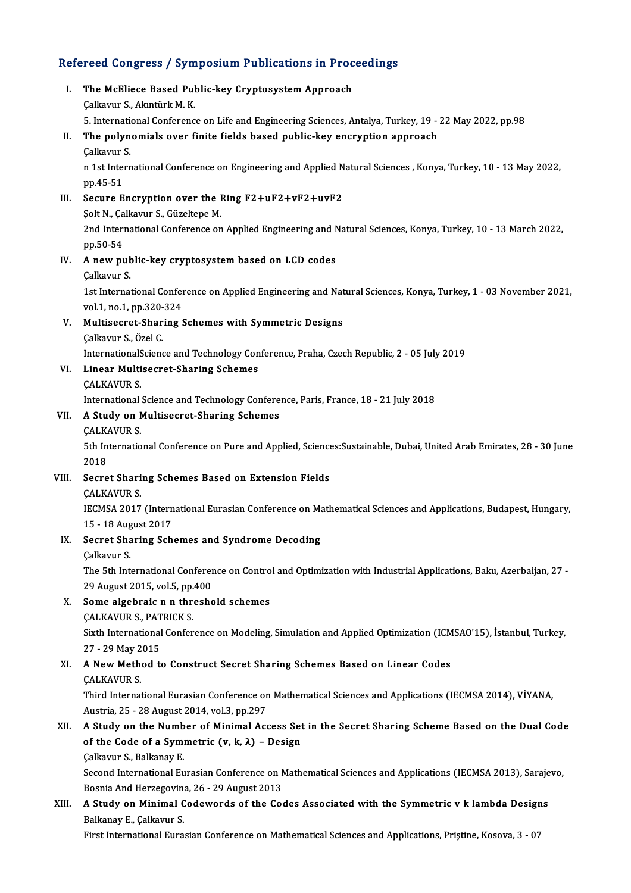# Refereed Congress / Symposium Publications in Proceedings<br>Refereed Congress / Symposium Publications in Proceedings

| Refereed Congress / Symposium Publications in Proceedings |                                                                                                                    |  |
|-----------------------------------------------------------|--------------------------------------------------------------------------------------------------------------------|--|
| Ι.                                                        | The McEliece Based Public-key Cryptosystem Approach<br>Çalkavur S., Akıntürk M. K.                                 |  |
|                                                           | 5. International Conference on Life and Engineering Sciences, Antalya, Turkey, 19 - 22 May 2022, pp.98             |  |
| П.                                                        | The polynomials over finite fields based public-key encryption approach                                            |  |
|                                                           | Çalkavur S                                                                                                         |  |
|                                                           | n 1st International Conference on Engineering and Applied Natural Sciences, Konya, Turkey, 10 - 13 May 2022,       |  |
|                                                           | pp 45-51                                                                                                           |  |
| Ш.                                                        | Secure Encryption over the Ring F2+uF2+vF2+uvF2                                                                    |  |
|                                                           | Şolt N., Çalkavur S., Güzeltepe M.                                                                                 |  |
|                                                           | 2nd International Conference on Applied Engineering and Natural Sciences, Konya, Turkey, 10 - 13 March 2022,       |  |
|                                                           | pp 50-54                                                                                                           |  |
| IV.                                                       | A new public-key cryptosystem based on LCD codes                                                                   |  |
|                                                           | Calkavur S.                                                                                                        |  |
|                                                           | 1st International Conference on Applied Engineering and Natural Sciences, Konya, Turkey, 1 - 03 November 2021,     |  |
|                                                           | vol 1, no 1, pp 320-324                                                                                            |  |
| V.                                                        | Multisecret-Sharing Schemes with Symmetric Designs                                                                 |  |
|                                                           | Çalkavur S., Özel C.                                                                                               |  |
|                                                           | InternationalScience and Technology Conference, Praha, Czech Republic, 2 - 05 July 2019                            |  |
| VI.                                                       | <b>Linear Multisecret-Sharing Schemes</b>                                                                          |  |
|                                                           | <b>CALKAVUR S</b>                                                                                                  |  |
|                                                           | International Science and Technology Conference, Paris, France, 18 - 21 July 2018                                  |  |
| VII.                                                      | A Study on Multisecret-Sharing Schemes                                                                             |  |
|                                                           | <b>ÇALKAVUR S</b>                                                                                                  |  |
|                                                           | 5th International Conference on Pure and Applied, Sciences: Sustainable, Dubai, United Arab Emirates, 28 - 30 June |  |
|                                                           | 2018                                                                                                               |  |
| VIII.                                                     | Secret Sharing Schemes Based on Extension Fields                                                                   |  |
|                                                           | <b>ÇALKAVUR S</b>                                                                                                  |  |
|                                                           | IECMSA 2017 (International Eurasian Conference on Mathematical Sciences and Applications, Budapest, Hungary,       |  |
|                                                           | 15 - 18 August 2017                                                                                                |  |
| IX.                                                       | <b>Secret Sharing Schemes and Syndrome Decoding</b><br>Çalkavur S                                                  |  |
|                                                           | The 5th International Conference on Control and Optimization with Industrial Applications, Baku, Azerbaijan, 27 -  |  |
|                                                           | 29 August 2015, vol 5, pp 400                                                                                      |  |
| Х.                                                        | Some algebraic n n threshold schemes                                                                               |  |
|                                                           | <b>CALKAVUR S., PATRICK S.</b>                                                                                     |  |
|                                                           | Sixth International Conference on Modeling, Simulation and Applied Optimization (ICMSAO'15), İstanbul, Turkey,     |  |
|                                                           | 27 - 29 May 2015                                                                                                   |  |
| XI.                                                       | A New Method to Construct Secret Sharing Schemes Based on Linear Codes                                             |  |
|                                                           | <b>ÇALKAVUR S</b>                                                                                                  |  |
|                                                           | Third International Eurasian Conference on Mathematical Sciences and Applications (IECMSA 2014), VİYANA,           |  |
|                                                           | Austria, 25 - 28 August 2014, vol.3, pp.297                                                                        |  |
| XII.                                                      | A Study on the Number of Minimal Access Set in the Secret Sharing Scheme Based on the Dual Code                    |  |
|                                                           | of the Code of a Symmetric (v, k, $\lambda$ ) - Design                                                             |  |
|                                                           | Çalkavur S., Balkanay E.                                                                                           |  |
|                                                           | Second International Eurasian Conference on Mathematical Sciences and Applications (IECMSA 2013), Sarajevo,        |  |
|                                                           | Bosnia And Herzegovina, 26 - 29 August 2013                                                                        |  |
| XIII.                                                     | A Study on Minimal Codewords of the Codes Associated with the Symmetric v k lambda Designs                         |  |
|                                                           | Balkanay E., Çalkavur S.                                                                                           |  |

First International Eurasian Conference on Mathematical Sciences and Applications, Priștine, Kosova, 3 - 07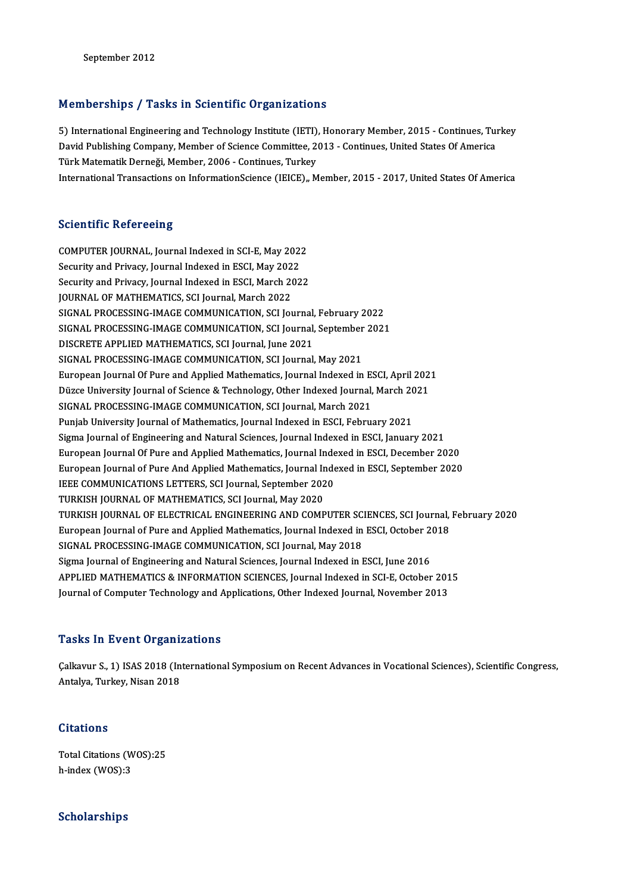# Memberships / Tasks in Scientific Organizations

Memberships / Tasks in Scientific Organizations<br>5) International Engineering and Technology Institute (IETI), Honorary Member, 2015 - Continues, Turkey<br>David Bublishing Company, Member of Science Committee, 2013 - Continue Promborompe / Taono in Sciencino organizations<br>5) International Engineering and Technology Institute (IETI), Honorary Member, 2015 - Continues, Tui<br>David Publishing Company, Member 2006, Continues Turkey 5) International Engineering and Technology Institute (IETI)<br>David Publishing Company, Member of Science Committee, 2<br>Türk Matematik Derneği, Member, 2006 - Continues, Turkey<br>International Transastions on InformationScienc David Publishing Company, Member of Science Committee, 2013 - Continues, United States Of America<br>Türk Matematik Derneği, Member, 2006 - Continues, Turkey<br>International Transactions on InformationScience (IEICE),, Member,

## **Scientific Refereeing**

Scientific Refereeing<br>COMPUTER JOURNAL, Journal Indexed in SCI-E, May 2022<br>Sequrity and Privegy Journal Indexed in ESCI, May 2022 Securiting recreasing<br>COMPUTER JOURNAL, Journal Indexed in SCI-E, May 202:<br>Security and Privacy, Journal Indexed in ESCI, May 2022<br>Security and Privacy, Journal Indexed in ESCI, March 202 Security and Privacy, Journal Indexed in ESCI, March 2022<br>JOURNAL OF MATHEMATICS. SCI Journal. March 2022 Security and Privacy, Journal Indexed in ESCI, May 2022 SIGNAL PROCESSING-IMAGE COMMUNICATION, SCI Journal, February 2022 JOURNAL OF MATHEMATICS, SCI Journal, March 2022<br>SIGNAL PROCESSING-IMAGE COMMUNICATION, SCI Journal, February 2022<br>SIGNAL PROCESSING-IMAGE COMMUNICATION, SCI Journal, September 2021<br>DISCRETE ARRI JED MATHEMATICS, SCI Journa SIGNAL PROCESSING-IMAGE COMMUNICATION, SCI Journal,<br>SIGNAL PROCESSING-IMAGE COMMUNICATION, SCI Journal,<br>DISCRETE APPLIED MATHEMATICS, SCI Journal, June 2021<br>SIGNAL PROCESSING IMAGE COMMUNICATION, SCI Journal SIGNAL PROCESSING-IMAGE COMMUNICATION, SCI Journal, September<br>DISCRETE APPLIED MATHEMATICS, SCI Journal, June 2021<br>SIGNAL PROCESSING-IMAGE COMMUNICATION, SCI Journal, May 2021<br>European Journal Of Bure and Applied Mathemati DISCRETE APPLIED MATHEMATICS, SCI Journal, June 2021<br>SIGNAL PROCESSING-IMAGE COMMUNICATION, SCI Journal, May 2021<br>European Journal Of Pure and Applied Mathematics, Journal Indexed in ESCI, April 2021<br>Dürce University Journ SIGNAL PROCESSING-IMAGE COMMUNICATION, SCI Journal, May 2021<br>European Journal Of Pure and Applied Mathematics, Journal Indexed in ESCI, April 202<br>Düzce University Journal of Science & Technology, Other Indexed Journal, Mar European Journal Of Pure and Applied Mathematics, Journal Indexed in E.<br>Düzce University Journal of Science & Technology, Other Indexed Journal,<br>SIGNAL PROCESSING-IMAGE COMMUNICATION, SCI Journal, March 2021<br>Punish Univers Düzce University Journal of Science & Technology, Other Indexed Journal, March 2021<br>SIGNAL PROCESSING-IMAGE COMMUNICATION, SCI Journal, March 2021<br>Punjab University Journal of Mathematics, Journal Indexed in ESCI, February Sigma Journal of Engineering and Natural Sciences, Journal Indexed in ESCI, January 2021 European Journal Of Pure and Applied Mathematics, Journal Indexed in ESCI, December 2020 Sigma Journal of Engineering and Natural Sciences, Journal Indexed in ESCI, January 2021<br>European Journal Of Pure and Applied Mathematics, Journal Indexed in ESCI, December 2020<br>European Journal of Pure And Applied Mathema European Journal Of Pure and Applied Mathematics, Journal Inde<br>European Journal of Pure And Applied Mathematics, Journal Inde<br>IEEE COMMUNICATIONS LETTERS, SCI Journal, September 2020<br>TURKISH JOURNAL OF MATHEMATICS, SCI Jou European Journal of Pure And Applied Mathematics, Journal In<br>IEEE COMMUNICATIONS LETTERS, SCI Journal, September 202<br>TURKISH JOURNAL OF ELECTRICAL ENCINEERING AND COMP<br>TURKISH JOURNAL OF ELECTRICAL ENCINEERING AND COMP IEEE COMMUNICATIONS LETTERS, SCI Journal, September 2020<br>TURKISH JOURNAL OF MATHEMATICS, SCI Journal, May 2020<br>TURKISH JOURNAL OF ELECTRICAL ENGINEERING AND COMPUTER SCIENCES, SCI Journal, February 2020<br>European Journal of TURKISH JOURNAL OF MATHEMATICS, SCI Journal, May 2020<br>TURKISH JOURNAL OF ELECTRICAL ENGINEERING AND COMPUTER SCIENCES, SCI Journal,<br>European Journal of Pure and Applied Mathematics, Journal Indexed in ESCI, October 2018<br>SI TURKISH JOURNAL OF ELECTRICAL ENGINEERING AND COMPUTER SC.<br>European Journal of Pure and Applied Mathematics, Journal Indexed in<br>SIGNAL PROCESSING-IMAGE COMMUNICATION, SCI Journal, May 2018<br>Sigma Journal of Engineering and European Journal of Pure and Applied Mathematics, Journal Indexed in ESCI, October 2<br>SIGNAL PROCESSING-IMAGE COMMUNICATION, SCI Journal, May 2018<br>Sigma Journal of Engineering and Natural Sciences, Journal Indexed in ESCI, SIGNAL PROCESSING-IMAGE COMMUNICATION, SCI Journal, May 2018<br>Sigma Journal of Engineering and Natural Sciences, Journal Indexed in ESCI, June 2016<br>APPLIED MATHEMATICS & INFORMATION SCIENCES, Journal Indexed in SCI-E, Octob Sigma Journal of Engineering and Natural Sciences, Journal Indexed in ESCI, June 2016<br>APPLIED MATHEMATICS & INFORMATION SCIENCES, Journal Indexed in SCI-E, October 201<br>Journal of Computer Technology and Applications, Other Journal of Computer Technology and Applications, Other Indexed Journal, November 2013<br>Tasks In Event Organizations

Tasks In Event Organizations<br>Çalkavur S., 1) ISAS 2018 (International Symposium on Recent Advances in Vocational Sciences), Scientific Congress,<br>Antalya Turkay Nisan 2018 Antalya, Turkey, Nisan 2018<br>Antalya, Turkey, Nisan 2018<br>Antalya, Turkey, Nisan 2018 Antalya, Turkey, Nisan 2018<br>Citations

Total Citations (WOS):25 h-index (WOS):3

# Scholarships